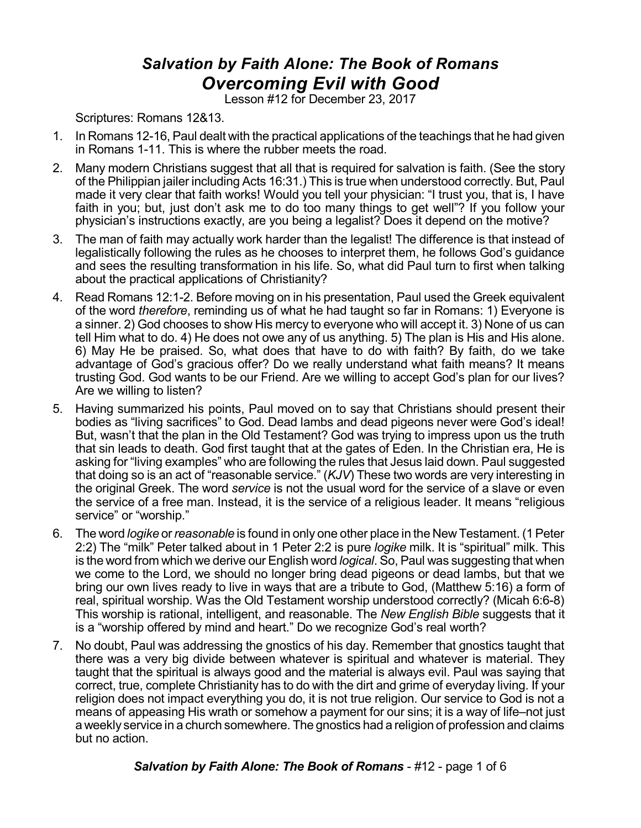## *Salvation by Faith Alone: The Book of Romans Overcoming Evil with Good*

Lesson #12 for December 23, 2017

Scriptures: Romans 12&13.

- 1. In Romans 12-16, Paul dealt with the practical applications of the teachings that he had given in Romans 1-11. This is where the rubber meets the road.
- 2. Many modern Christians suggest that all that is required for salvation is faith. (See the story of the Philippian jailer including Acts 16:31.) This is true when understood correctly. But, Paul made it very clear that faith works! Would you tell your physician: "I trust you, that is, I have faith in you; but, just don't ask me to do too many things to get well"? If you follow your physician's instructions exactly, are you being a legalist? Does it depend on the motive?
- 3. The man of faith may actually work harder than the legalist! The difference is that instead of legalistically following the rules as he chooses to interpret them, he follows God's guidance and sees the resulting transformation in his life. So, what did Paul turn to first when talking about the practical applications of Christianity?
- 4. Read Romans 12:1-2. Before moving on in his presentation, Paul used the Greek equivalent of the word *therefore*, reminding us of what he had taught so far in Romans: 1) Everyone is a sinner. 2) God chooses to show His mercy to everyone who will accept it. 3) None of us can tell Him what to do. 4) He does not owe any of us anything. 5) The plan is His and His alone. 6) May He be praised. So, what does that have to do with faith? By faith, do we take advantage of God's gracious offer? Do we really understand what faith means? It means trusting God. God wants to be our Friend. Are we willing to accept God's plan for our lives? Are we willing to listen?
- 5. Having summarized his points, Paul moved on to say that Christians should present their bodies as "living sacrifices" to God. Dead lambs and dead pigeons never were God's ideal! But, wasn't that the plan in the Old Testament? God was trying to impress upon us the truth that sin leads to death. God first taught that at the gates of Eden. In the Christian era, He is asking for "living examples" who are following the rules that Jesus laid down. Paul suggested that doing so is an act of "reasonable service." (*KJV*) These two words are very interesting in the original Greek. The word *service* is not the usual word for the service of a slave or even the service of a free man. Instead, it is the service of a religious leader. It means "religious service" or "worship."
- 6. The word *logike* or*reasonable* is found in only one other place in the New Testament. (1Peter 2:2) The "milk" Peter talked about in 1 Peter 2:2 is pure *logike* milk. It is "spiritual" milk. This is the word from which we derive our English word *logical*. So, Paul was suggesting that when we come to the Lord, we should no longer bring dead pigeons or dead lambs, but that we bring our own lives ready to live in ways that are a tribute to God, (Matthew 5:16) a form of real, spiritual worship. Was the Old Testament worship understood correctly? (Micah 6:6-8) This worship is rational, intelligent, and reasonable. The *New English Bible* suggests that it is a "worship offered by mind and heart." Do we recognize God's real worth?
- 7. No doubt, Paul was addressing the gnostics of his day. Remember that gnostics taught that there was a very big divide between whatever is spiritual and whatever is material. They taught that the spiritual is always good and the material is always evil. Paul was saying that correct, true, complete Christianity has to do with the dirt and grime of everyday living. If your religion does not impact everything you do, it is not true religion. Our service to God is not a means of appeasing His wrath or somehow a payment for our sins; it is a way of life–not just a weekly service in a church somewhere. The gnostics had a religion of profession and claims but no action.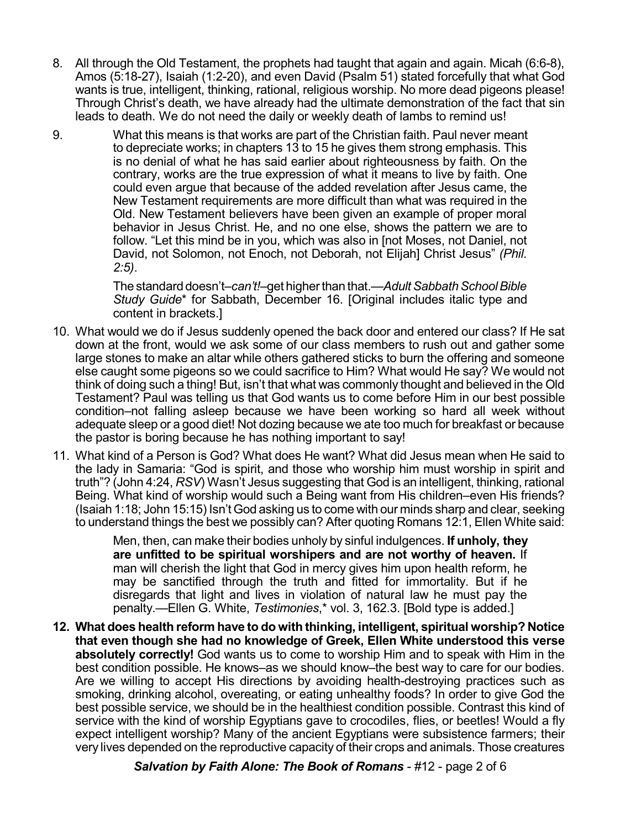- 8. All through the Old Testament, the prophets had taught that again and again. Micah (6:6-8), Amos (5:18-27), Isaiah (1:2-20), and even David (Psalm 51) stated forcefully that what God wants is true, intelligent, thinking, rational, religious worship. No more dead pigeons please! Through Christ's death, we have already had the ultimate demonstration of the fact that sin leads to death. We do not need the daily or weekly death of lambs to remind us!
- 9. What this means is that works are part of the Christian faith. Paul never meant to depreciate works; in chapters 13 to 15 he gives them strong emphasis. This is no denial of what he has said earlier about righteousness by faith. On the contrary, works are the true expression of what it means to live by faith. One could even argue that because of the added revelation after Jesus came, the New Testament requirements are more difficult than what was required in the Old. New Testament believers have been given an example of proper moral behavior in Jesus Christ. He, and no one else, shows the pattern we are to follow. "Let this mind be in you, which was also in [not Moses, not Daniel, not David, not Solomon, not Enoch, not Deborah, not Elijah] Christ Jesus" *(Phil. 2:5)*.

The standard doesn't–*can't!*–get higher than that.—*Adult Sabbath School Bible Study Guide*\* for Sabbath, December 16. [Original includes italic type and content in brackets.]

- 10. What would we do if Jesus suddenly opened the back door and entered our class? If He sat down at the front, would we ask some of our class members to rush out and gather some large stones to make an altar while others gathered sticks to burn the offering and someone else caught some pigeons so we could sacrifice to Him? What would He say? We would not think of doing such a thing! But, isn't that what was commonly thought and believed in the Old Testament? Paul was telling us that God wants us to come before Him in our best possible condition–not falling asleep because we have been working so hard all week without adequate sleep or a good diet! Not dozing because we ate too much for breakfast or because the pastor is boring because he has nothing important to say!
- 11. What kind of a Person is God? What does He want? What did Jesus mean when He said to the lady in Samaria: "God is spirit, and those who worship him must worship in spirit and truth"? (John 4:24, *RSV*) Wasn't Jesus suggesting that God is an intelligent, thinking, rational Being. What kind of worship would such a Being want from His children–even His friends? (Isaiah 1:18; John 15:15) Isn't God asking us to come with our minds sharp and clear, seeking to understand things the best we possibly can? After quoting Romans 12:1, Ellen White said:

Men, then, can make their bodies unholy by sinful indulgences. **If unholy, they are unfitted to be spiritual worshipers and are not worthy of heaven.** If man will cherish the light that God in mercy gives him upon health reform, he may be sanctified through the truth and fitted for immortality. But if he disregards that light and lives in violation of natural law he must pay the penalty.—Ellen G. White, *Testimonies*,\* vol. 3, 162.3. [Bold type is added.]

**12. What does health reform have to do with thinking, intelligent, spiritual worship? Notice that even though she had no knowledge of Greek, Ellen White understood this verse absolutely correctly!** God wants us to come to worship Him and to speak with Him in the best condition possible. He knows–as we should know–the best way to care for our bodies. Are we willing to accept His directions by avoiding health-destroying practices such as smoking, drinking alcohol, overeating, or eating unhealthy foods? In order to give God the best possible service, we should be in the healthiest condition possible. Contrast this kind of service with the kind of worship Egyptians gave to crocodiles, flies, or beetles! Would a fly expect intelligent worship? Many of the ancient Egyptians were subsistence farmers; their very lives depended on the reproductive capacity of their crops and animals. Those creatures

*Salvation by Faith Alone: The Book of Romans* - #12 - page 2 of 6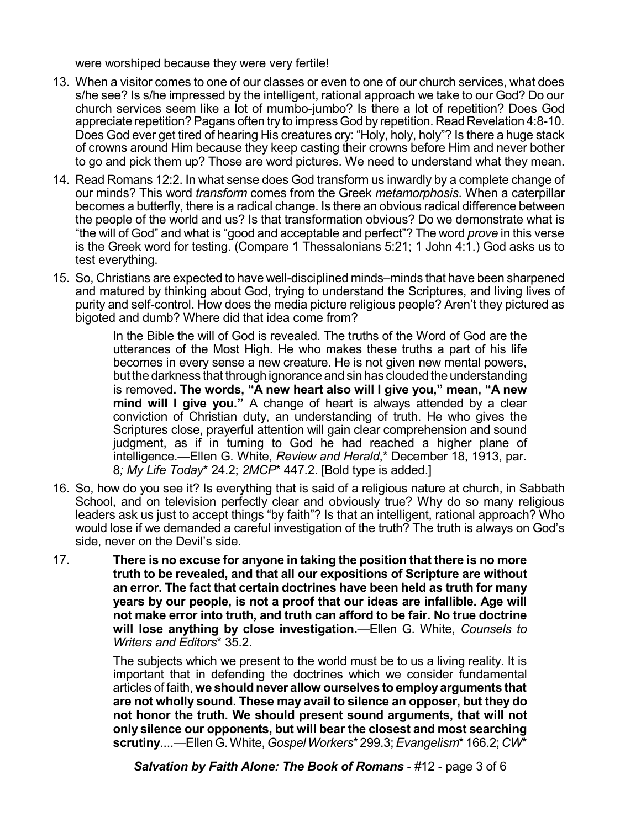were worshiped because they were very fertile!

- 13. When a visitor comes to one of our classes or even to one of our church services, what does s/he see? Is s/he impressed by the intelligent, rational approach we take to our God? Do our church services seem like a lot of mumbo-jumbo? Is there a lot of repetition? Does God appreciate repetition?Pagans often try to impress God by repetition. Read Revelation 4:8-10. Does God ever get tired of hearing His creatures cry: "Holy, holy, holy"? Is there a huge stack of crowns around Him because they keep casting their crowns before Him and never bother to go and pick them up? Those are word pictures. We need to understand what they mean.
- 14. Read Romans 12:2. In what sense does God transform us inwardly by a complete change of our minds? This word *transform* comes from the Greek *metamorphosis*. When a caterpillar becomes a butterfly, there is a radical change. Is there an obvious radical difference between the people of the world and us? Is that transformation obvious? Do we demonstrate what is "the will of God" and what is "good and acceptable and perfect"? The word *prove* in this verse is the Greek word for testing. (Compare 1 Thessalonians 5:21; 1 John 4:1.) God asks us to test everything.
- 15. So, Christians are expected to have well-disciplined minds–minds that have been sharpened and matured by thinking about God, trying to understand the Scriptures, and living lives of purity and self-control. How does the media picture religious people? Aren't they pictured as bigoted and dumb? Where did that idea come from?

In the Bible the will of God is revealed. The truths of the Word of God are the utterances of the Most High. He who makes these truths a part of his life becomes in every sense a new creature. He is not given new mental powers, but the darkness that through ignorance and sin has clouded the understanding is removed**. The words, "A new heart also will I give you," mean, "A new mind will I give you."** A change of heart is always attended by a clear conviction of Christian duty, an understanding of truth. He who gives the Scriptures close, prayerful attention will gain clear comprehension and sound judgment, as if in turning to God he had reached a higher plane of intelligence.—Ellen G. White, *Review and Herald*,\* December 18, 1913, par. 8*; My Life Today*\* 24.2; *2MCP*\* 447.2. [Bold type is added.]

- 16. So, how do you see it? Is everything that is said of a religious nature at church, in Sabbath School, and on television perfectly clear and obviously true? Why do so many religious leaders ask us just to accept things "by faith"? Is that an intelligent, rational approach? Who would lose if we demanded a careful investigation of the truth? The truth is always on God's side, never on the Devil's side.
- 17. **There is no excuse for anyone in taking the position that there is no more truth to be revealed, and that all our expositions of Scripture are without an error. The fact that certain doctrines have been held as truth for many years by our people, is not a proof that our ideas are infallible. Age will not make error into truth, and truth can afford to be fair. No true doctrine will lose anything by close investigation.**—Ellen G. White, *Counsels to Writers and Editors*\* 35.2.

The subjects which we present to the world must be to us a living reality. It is important that in defending the doctrines which we consider fundamental articles of faith, **we shouldnever allow ourselves to employarguments that are not wholly sound. These may avail to silence an opposer, but they do not honor the truth. We should present sound arguments, that will not only silence our opponents, but will bear the closest and most searching scrutiny**....—EllenG.White,*Gospel Workers*\* 299.3;*Evangelism*\* 166.2; *CW*\*

*Salvation by Faith Alone: The Book of Romans* - #12 - page 3 of 6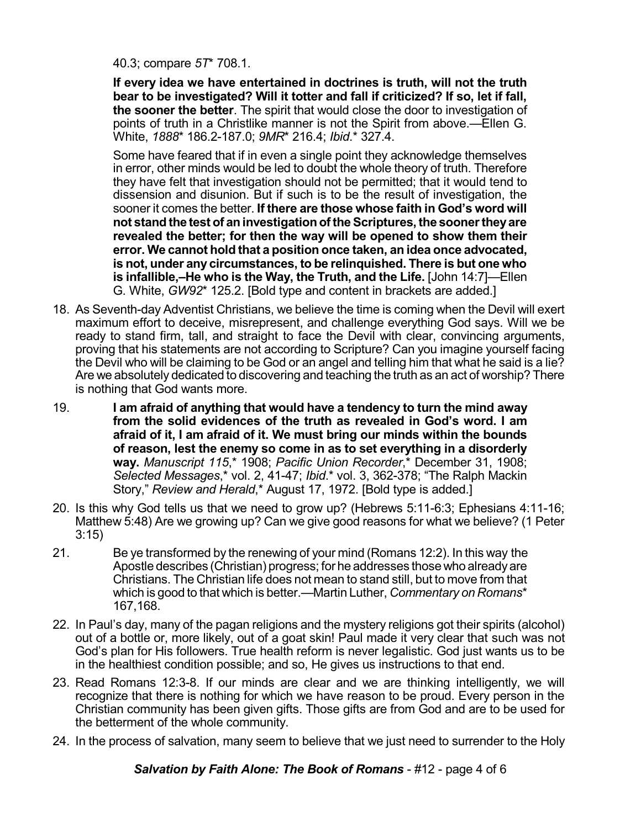40.3; compare *5T*\* 708.1.

**If every idea we have entertained in doctrines is truth, will not the truth bear to be investigated? Will it totter and fall if criticized? If so, let if fall, the sooner the better**. The spirit that would close the door to investigation of points of truth in a Christlike manner is not the Spirit from above.—Ellen G. White, *1888*\* 186.2-187.0; *9MR*\* 216.4; *Ibid*.\* 327.4.

Some have feared that if in even a single point they acknowledge themselves in error, other minds would be led to doubt the whole theory of truth. Therefore they have felt that investigation should not be permitted; that it would tend to dissension and disunion. But if such is to be the result of investigation, the sooner it comes the better. **If there are those whose faith in God's word will not stand the testof aninvestigationoftheScriptures,the soonertheyare revealed the better; for then the way will be opened to show them their error. We cannot hold that a position once taken, an idea once advocated, is not, under any circumstances, to be relinquished. There is but one who is infallible,–He who is the Way, the Truth, and the Life.** [John 14:7]—Ellen G. White, *GW92*\* 125.2. [Bold type and content in brackets are added.]

- 18. As Seventh-day Adventist Christians, we believe the time is coming when the Devil will exert maximum effort to deceive, misrepresent, and challenge everything God says. Will we be ready to stand firm, tall, and straight to face the Devil with clear, convincing arguments, proving that his statements are not according to Scripture? Can you imagine yourself facing the Devil who will be claiming to be God or an angel and telling him that what he said is a lie? Are we absolutely dedicated to discovering and teaching the truth as an act of worship? There is nothing that God wants more.
- 19. **I am afraid of anything that would have a tendency to turn the mind away from the solid evidences of the truth as revealed in God's word. I am afraid of it, I am afraid of it. We must bring our minds within the bounds of reason, lest the enemy so come in as to set everything in a disorderly way.** *Manuscript 115*,\* 1908; *Pacific Union Recorder*,\* December 31, 1908; *Selected Messages*,\* vol. 2, 41-47; *Ibid*.\* vol. 3, 362-378; "The Ralph Mackin Story," *Review and Herald*,\* August 17, 1972. [Bold type is added.]
- 20. Is this why God tells us that we need to grow up? (Hebrews 5:11-6:3; Ephesians 4:11-16; Matthew 5:48) Are we growing up? Can we give good reasons for what we believe? (1 Peter 3:15)
- 21. Be ye transformed by the renewing of your mind (Romans 12:2). In this way the Apostle describes (Christian) progress; for he addresses thosewho alreadyare Christians. The Christian life does not mean to stand still, but to move from that which is good to that which is better.—Martin Luther, *Commentary on Romans*\* 167,168.
- 22. In Paul's day, many of the pagan religions and the mystery religions got their spirits (alcohol) out of a bottle or, more likely, out of a goat skin! Paul made it very clear that such was not God's plan for His followers. True health reform is never legalistic. God just wants us to be in the healthiest condition possible; and so, He gives us instructions to that end.
- 23. Read Romans 12:3-8. If our minds are clear and we are thinking intelligently, we will recognize that there is nothing for which we have reason to be proud. Every person in the Christian community has been given gifts. Those gifts are from God and are to be used for the betterment of the whole community.
- 24. In the process of salvation, many seem to believe that we just need to surrender to the Holy

*Salvation by Faith Alone: The Book of Romans* - #12 - page 4 of 6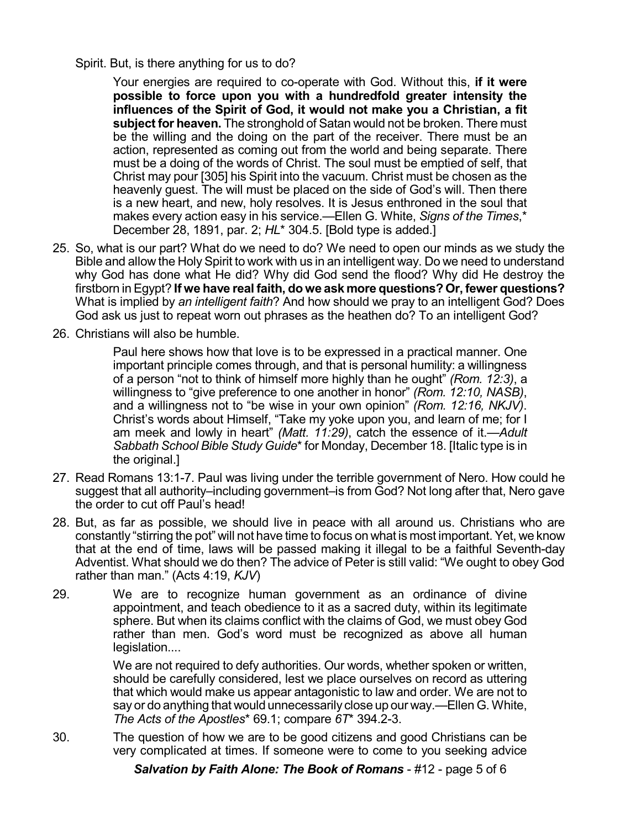## Spirit. But, is there anything for us to do?

Your energies are required to co-operate with God. Without this, **if it were possible to force upon you with a hundredfold greater intensity the influences of the Spirit of God, it would not make you a Christian, a fit subject for heaven.** The stronghold of Satan would not be broken. There must be the willing and the doing on the part of the receiver. There must be an action, represented as coming out from the world and being separate. There must be a doing of the words of Christ. The soul must be emptied of self, that Christ may pour [305] his Spirit into the vacuum. Christ must be chosen as the heavenly guest. The will must be placed on the side of God's will. Then there is a new heart, and new, holy resolves. It is Jesus enthroned in the soul that makes every action easy in his service.—Ellen G. White, *Signs of the Times*,\* December 28, 1891, par. 2; *HL*\* 304.5. [Bold type is added.]

- 25. So, what is our part? What do we need to do? We need to open our minds as we study the Bible and allow the Holy Spirit to work with us in an intelligent way. Do we need to understand why God has done what He did? Why did God send the flood? Why did He destroy the firstborn in Egypt? **If we have real faith, do we ask more questions? Or, fewer questions?** What is implied by *an intelligent faith*? And how should we pray to an intelligent God? Does God ask us just to repeat worn out phrases as the heathen do? To an intelligent God?
- 26. Christians will also be humble.

Paul here shows how that love is to be expressed in a practical manner. One important principle comes through, and that is personal humility: a willingness of a person "not to think of himself more highly than he ought" *(Rom. 12:3)*, a willingness to "give preference to one another in honor" *(Rom. 12:10, NASB)*, and a willingness not to "be wise in your own opinion" *(Rom. 12:16, NKJV)*. Christ's words about Himself, "Take my yoke upon you, and learn of me; for I am meek and lowly in heart" *(Matt. 11:29)*, catch the essence of it.—*Adult Sabbath School Bible Study Guide*\*for Monday, December 18. [Italic type is in the original.]

- 27. Read Romans 13:1-7. Paul was living under the terrible government of Nero. How could he suggest that all authority–including government–is from God? Not long after that, Nero gave the order to cut off Paul's head!
- 28. But, as far as possible, we should live in peace with all around us. Christians who are constantly "stirring the pot" will not have time to focus on what is most important. Yet, we know that at the end of time, laws will be passed making it illegal to be a faithful Seventh-day Adventist. What should we do then? The advice of Peter is still valid: "We ought to obey God rather than man." (Acts 4:19, *KJV*)
- 29. We are to recognize human government as an ordinance of divine appointment, and teach obedience to it as a sacred duty, within its legitimate sphere. But when its claims conflict with the claims of God, we must obey God rather than men. God's word must be recognized as above all human legislation....

We are not required to defy authorities. Our words, whether spoken or written, should be carefully considered, lest we place ourselves on record as uttering that which would make us appear antagonistic to law and order. We are not to say or do anything that would unnecessarily close up our way.—Ellen G. White, *The Acts of the Apostles*\* 69.1; compare *6T*\* 394.2-3.

30. The question of how we are to be good citizens and good Christians can be very complicated at times. If someone were to come to you seeking advice

*Salvation by Faith Alone: The Book of Romans* - #12 - page 5 of 6